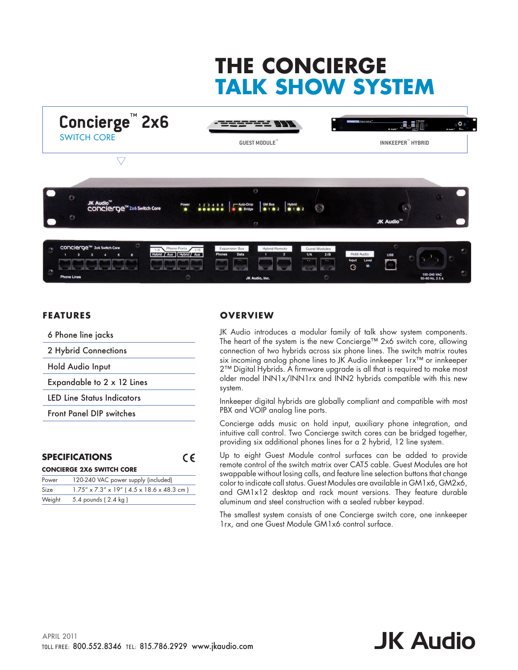# **THE CONCIERGE TALK SHOW SYSTEM**



### **FEATURES**

| 6 Phone line jacks                |
|-----------------------------------|
| 2 Hybrid Connections              |
| Hold Audio Input                  |
| Expandable to 2 x 12 Lines        |
| <b>LED Line Status Indicators</b> |
| <b>Front Panel DIP switches</b>   |
|                                   |

|               | <b>SPECIFICATIONS</b>                     |  |  |  |  |
|---------------|-------------------------------------------|--|--|--|--|
|               | <b>CONCIERGE 2X6 SWITCH CORE</b>          |  |  |  |  |
|               | Power 120-240 VAC power supply (included) |  |  |  |  |
| $\sim$ $\sim$ |                                           |  |  |  |  |

| i owel | I ZU-ZAU VAC DOWEI SUPPIY (IIICIUGEG)                    |
|--------|----------------------------------------------------------|
| Size   | $1.75'' \times 7.3'' \times 19''$ (4.5 x 18.6 x 48.3 cm) |
|        | Weight 5.4 pounds (2.4 kg)                               |

## **OVERV IEW**

JK Audio introduces a modular family of talk show system components. The heart of the system is the new Concierge™ 2x6 switch core, allowing connection of two hybrids across six phone lines. The switch matrix routes six incoming analog phone lines to JK Audio innkeeper 1rx™ or innkeeper 2™ Digital Hybrids. A firmware upgrade is all that is required to make most older model INN1x/INN1rx and INN2 hybrids compatible with this new system.

Innkeeper digital hybrids are globally compliant and compatible with most PBX and VOIP analog line ports.

Concierge adds music on hold input, auxiliary phone integration, and intuitive call control. Two Concierge switch cores can be bridged together, providing six additional phones lines for a 2 hybrid, 12 line system.

Up to eight Guest Module control surfaces can be added to provide remote control of the switch matrix over CAT5 cable. Guest Modules are hot swappable without losing calls, and feature line selection buttons that change color to indicate call status. Guest Modules are available in GM1x6, GM2x6, and GM1x12 desktop and rack mount versions. They feature durable aluminum and steel construction with a sealed rubber keypad.

The smallest system consists of one Concierge switch core, one innkeeper 1rx, and one Guest Module GM1x6 control surface.